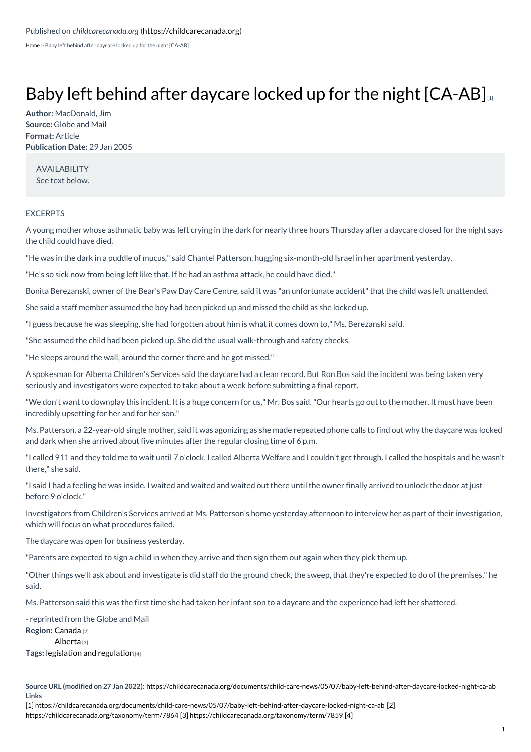[Home](https://childcarecanada.org/) > Baby left behind after daycare locked up for the night [CA-AB]

## Baby left behind after daycare locked up for the night  $[CA-AB]_{11}$  $[CA-AB]_{11}$

**Author:** MacDonald, Jim **Source:** Globe and Mail **Format:** Article **Publication Date:** 29 Jan 2005

AVAILABILITY See text below.

## EXCERPTS

A young mother whose asthmatic baby was left crying in the dark for nearly three hours Thursday after a daycare closed for the night says the child could have died.

"He was in the dark in a puddle of mucus," said Chantel Patterson, hugging six-month-old Israel in her apartment yesterday.

"He's so sick now from being left like that. If he had an asthma attack, he could have died."

Bonita Berezanski, owner of the Bear's Paw Day Care Centre, said it was "an unfortunate accident" that the child was left unattended.

She said a staff member assumed the boy had been picked up and missed the child as she locked up.

"I guess because he was sleeping, she had forgotten about him is what it comes down to," Ms. Berezanski said.

"She assumed the child had been picked up. She did the usual walk-through and safety checks.

"He sleeps around the wall, around the corner there and he got missed."

A spokesman for Alberta Children's Services said the daycare had a clean record. But Ron Bos said the incident was being taken very seriously and investigators were expected to take about a week before submitting a final report.

"We don't want to downplay this incident. It is a huge concern for us," Mr. Bos said."Our hearts go out to the mother. It must have been incredibly upsetting for her and for her son."

Ms. Patterson, a 22-year-old single mother, said it was agonizing as she made repeated phone calls to find out why the daycare was locked and dark when she arrived about five minutes after the regular closing time of 6 p.m.

"I called 911 and they told me to wait until 7 o'clock. I called Alberta Welfare and I couldn't get through. I called the hospitals and he wasn't there," she said.

"I said I had a feeling he was inside. I waited and waited and waited out there until the owner finally arrived to unlock the door at just before 9 o'clock."

Investigators from Children's Services arrived at Ms. Patterson's home yesterday afternoon to interview her as part of their investigation, which will focus on what procedures failed.

The daycare was open for business yesterday.

"Parents are expected to sign a child in when they arrive and then sign them out again when they pick them up.

"Other things we'll ask about and investigate is did staff do the ground check, the sweep, that they're expected to do of the premises," he said.

Ms. Patterson said this was the first time she had taken her infant son to a daycare and the experience had left her shattered.

**Region:** [Canada](https://childcarecanada.org/taxonomy/term/7864) [2] [Alberta](https://childcarecanada.org/taxonomy/term/7859) [3] **Tags:** [legislation](https://childcarecanada.org/category/tags/legislation-and-regulation) and regulation [4] - reprinted from the Globe and Mail

[1] [https://childcarecanada.org/documents/child-care-news/05/07/baby-left-behind-after-daycare-locked-night-ca-ab](https://childcarecanada.org/taxonomy/term/7864) [2] [https://childcarecanada.org/taxonomy/term/7864](https://childcarecanada.org/category/tags/legislation-and-regulation) [3] <https://childcarecanada.org/taxonomy/term/7859> [4]

**Source URL (modified on 27 Jan 2022):** <https://childcarecanada.org/documents/child-care-news/05/07/baby-left-behind-after-daycare-locked-night-ca-ab> **Links**